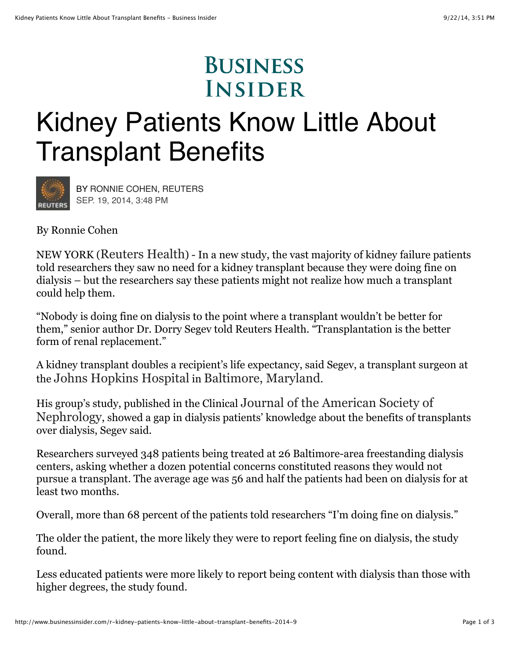## **BUSINESS INSIDER**

## Kidney Patients Know Little About Transplant Benefits



BY RONNIE COHEN, [REUTERS](http://www.reuters.com/) SEP. 19, 2014, 3:48 PM

By Ronnie Cohen

NEW YORK (Reuters Health) - In a new study, the vast majority of kidney failure patients told researchers they saw no need for a kidney transplant because they were doing fine on dialysis – but the researchers say these patients might not realize how much a transplant could help them.

"Nobody is doing fine on dialysis to the point where a transplant wouldn't be better for them," senior author Dr. Dorry Segev told Reuters Health. "Transplantation is the better form of renal replacement."

A kidney transplant doubles a recipient's life expectancy, said Segev, a transplant surgeon at the Johns Hopkins Hospital in Baltimore, Maryland.

His group's study, published in the Clinical Journal of the American Society of Nephrology, showed a gap in dialysis patients' knowledge about the benefits of transplants over dialysis, Segev said.

Researchers surveyed 348 patients being treated at 26 Baltimore-area freestanding dialysis centers, asking whether a dozen potential concerns constituted reasons they would not pursue a transplant. The average age was 56 and half the patients had been on dialysis for at least two months.

Overall, more than 68 percent of the patients told researchers "I'm doing fine on dialysis."

The older the patient, the more likely they were to report feeling fine on dialysis, the study found.

Less educated patients were more likely to report being content with dialysis than those with higher degrees, the study found.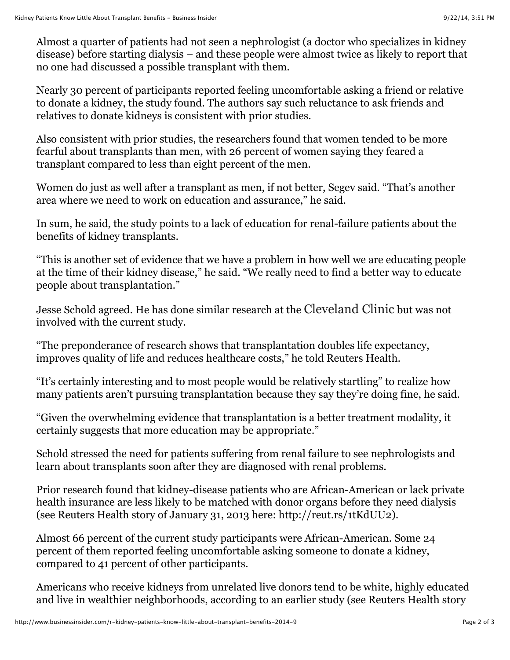Almost a quarter of patients had not seen a nephrologist (a doctor who specializes in kidney disease) before starting dialysis – and these people were almost twice as likely to report that no one had discussed a possible transplant with them.

Nearly 30 percent of participants reported feeling uncomfortable asking a friend or relative to donate a kidney, the study found. The authors say such reluctance to ask friends and relatives to donate kidneys is consistent with prior studies.

Also consistent with prior studies, the researchers found that women tended to be more fearful about transplants than men, with 26 percent of women saying they feared a transplant compared to less than eight percent of the men.

Women do just as well after a transplant as men, if not better, Segev said. "That's another area where we need to work on education and assurance," he said.

In sum, he said, the study points to a lack of education for renal-failure patients about the benefits of kidney transplants.

"This is another set of evidence that we have a problem in how well we are educating people at the time of their kidney disease," he said. "We really need to find a better way to educate people about transplantation."

Jesse Schold agreed. He has done similar research at the Cleveland Clinic but was not involved with the current study.

"The preponderance of research shows that transplantation doubles life expectancy, improves quality of life and reduces healthcare costs," he told Reuters Health.

"It's certainly interesting and to most people would be relatively startling" to realize how many patients aren't pursuing transplantation because they say they're doing fine, he said.

"Given the overwhelming evidence that transplantation is a better treatment modality, it certainly suggests that more education may be appropriate."

Schold stressed the need for patients suffering from renal failure to see nephrologists and learn about transplants soon after they are diagnosed with renal problems.

Prior research found that kidney-disease patients who are African-American or lack private health insurance are less likely to be matched with donor organs before they need dialysis (see Reuters Health story of January 31, 2013 here: http://reut.rs/1tKdUU2).

Almost 66 percent of the current study participants were African-American. Some 24 percent of them reported feeling uncomfortable asking someone to donate a kidney, compared to 41 percent of other participants.

Americans who receive kidneys from unrelated live donors tend to be white, highly educated and live in wealthier neighborhoods, according to an earlier study (see Reuters Health story